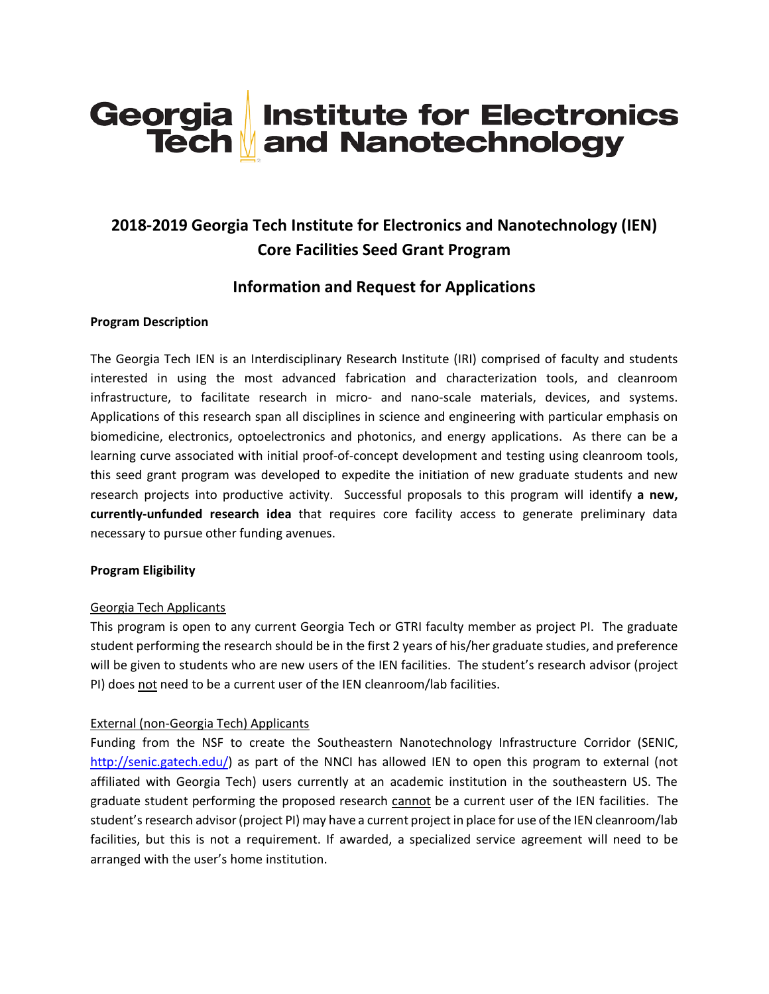# Georgia Institute for Electronics<br>Tech and Nanotechnology

## **2018-2019 Georgia Tech Institute for Electronics and Nanotechnology (IEN) Core Facilities Seed Grant Program**

### **Information and Request for Applications**

#### **Program Description**

The Georgia Tech IEN is an Interdisciplinary Research Institute (IRI) comprised of faculty and students interested in using the most advanced fabrication and characterization tools, and cleanroom infrastructure, to facilitate research in micro- and nano-scale materials, devices, and systems. Applications of this research span all disciplines in science and engineering with particular emphasis on biomedicine, electronics, optoelectronics and photonics, and energy applications. As there can be a learning curve associated with initial proof-of-concept development and testing using cleanroom tools, this seed grant program was developed to expedite the initiation of new graduate students and new research projects into productive activity. Successful proposals to this program will identify **a new, currently-unfunded research idea** that requires core facility access to generate preliminary data necessary to pursue other funding avenues.

#### **Program Eligibility**

#### Georgia Tech Applicants

This program is open to any current Georgia Tech or GTRI faculty member as project PI. The graduate student performing the research should be in the first 2 years of his/her graduate studies, and preference will be given to students who are new users of the IEN facilities. The student's research advisor (project PI) does not need to be a current user of the IEN cleanroom/lab facilities.

#### External (non-Georgia Tech) Applicants

Funding from the NSF to create the Southeastern Nanotechnology Infrastructure Corridor (SENIC, [http://senic.gatech.edu/\)](http://senic.gatech.edu/) as part of the NNCI has allowed IEN to open this program to external (not affiliated with Georgia Tech) users currently at an academic institution in the southeastern US. The graduate student performing the proposed research cannot be a current user of the IEN facilities. The student's research advisor (project PI) may have a current project in place for use of the IEN cleanroom/lab facilities, but this is not a requirement. If awarded, a specialized service agreement will need to be arranged with the user's home institution.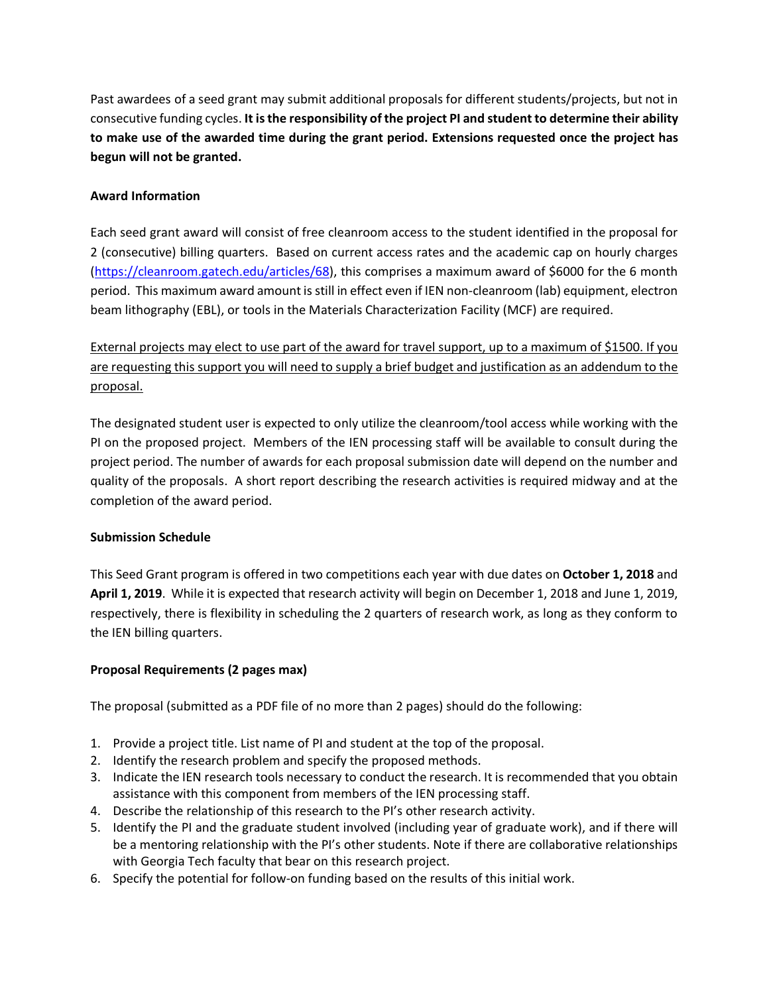Past awardees of a seed grant may submit additional proposals for different students/projects, but not in consecutive funding cycles. **It is the responsibility of the project PI and student to determine their ability to make use of the awarded time during the grant period. Extensions requested once the project has begun will not be granted.**

#### **Award Information**

Each seed grant award will consist of free cleanroom access to the student identified in the proposal for 2 (consecutive) billing quarters. Based on current access rates and the academic cap on hourly charges [\(https://cleanroom.gatech.edu/articles/68\)](https://cleanroom.gatech.edu/articles/68), this comprises a maximum award of \$6000 for the 6 month period. This maximum award amount is still in effect even if IEN non-cleanroom (lab) equipment, electron beam lithography (EBL), or tools in the Materials Characterization Facility (MCF) are required.

External projects may elect to use part of the award for travel support, up to a maximum of \$1500. If you are requesting this support you will need to supply a brief budget and justification as an addendum to the proposal.

The designated student user is expected to only utilize the cleanroom/tool access while working with the PI on the proposed project. Members of the IEN processing staff will be available to consult during the project period. The number of awards for each proposal submission date will depend on the number and quality of the proposals. A short report describing the research activities is required midway and at the completion of the award period.

#### **Submission Schedule**

This Seed Grant program is offered in two competitions each year with due dates on **October 1, 2018** and **April 1, 2019**. While it is expected that research activity will begin on December 1, 2018 and June 1, 2019, respectively, there is flexibility in scheduling the 2 quarters of research work, as long as they conform to the IEN billing quarters.

#### **Proposal Requirements (2 pages max)**

The proposal (submitted as a PDF file of no more than 2 pages) should do the following:

- 1. Provide a project title. List name of PI and student at the top of the proposal.
- 2. Identify the research problem and specify the proposed methods.
- 3. Indicate the IEN research tools necessary to conduct the research. It is recommended that you obtain assistance with this component from members of the IEN processing staff.
- 4. Describe the relationship of this research to the PI's other research activity.
- 5. Identify the PI and the graduate student involved (including year of graduate work), and if there will be a mentoring relationship with the PI's other students. Note if there are collaborative relationships with Georgia Tech faculty that bear on this research project.
- 6. Specify the potential for follow-on funding based on the results of this initial work.